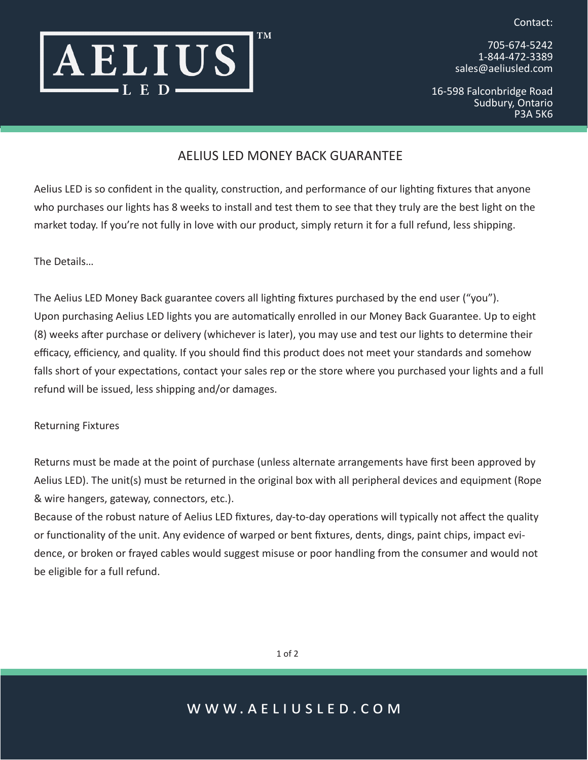Contact:



705-674-5242 1-844-472-3389 sales@aeliusled.com

16-598 Falconbridge Road Sudbury, Ontario P3A 5K6

## AELIUS LED MONEY BACK GUARANTEE

Aelius LED is so confident in the quality, construction, and performance of our lighting fixtures that anyone who purchases our lights has 8 weeks to install and test them to see that they truly are the best light on the market today. If you're not fully in love with our product, simply return it for a full refund, less shipping.

The Details…

The Aelius LED Money Back guarantee covers all lighting fixtures purchased by the end user ("you"). Upon purchasing Aelius LED lights you are automatically enrolled in our Money Back Guarantee. Up to eight (8) weeks after purchase or delivery (whichever is later), you may use and test our lights to determine their efficacy, efficiency, and quality. If you should find this product does not meet your standards and somehow falls short of your expectations, contact your sales rep or the store where you purchased your lights and a full refund will be issued, less shipping and/or damages.

Returning Fixtures

Returns must be made at the point of purchase (unless alternate arrangements have first been approved by Aelius LED). The unit(s) must be returned in the original box with all peripheral devices and equipment (Rope & wire hangers, gateway, connectors, etc.).

Because of the robust nature of Aelius LED fixtures, day-to-day operations will typically not affect the quality or functionality of the unit. Any evidence of warped or bent fixtures, dents, dings, paint chips, impact evidence, or broken or frayed cables would suggest misuse or poor handling from the consumer and would not be eligible for a full refund.

1 of 2

## www.aeliusled.com